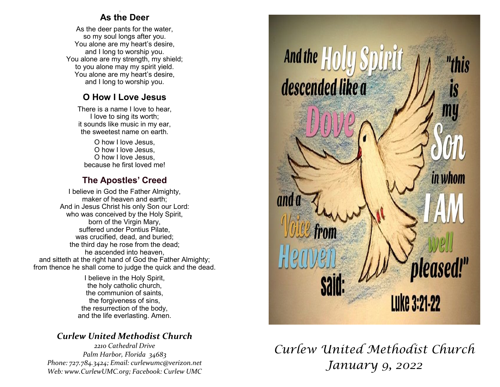## . **As the Deer**

As the deer pants for the water, so my soul longs after you. You alone are my heart's desire, and I long to worship you. You alone are my strength, my shield; to you alone may my spirit yield. You alone are my heart's desire, and I long to worship you.

### **O How I Love Jesus**

There is a name I love to hear, I love to sing its worth; it sounds like music in my ear, the sweetest name on earth.

O how I love Jesus, O how I love Jesus, O how I love Jesus, because he first loved me!

## **The Apostles' Creed**

I believe in God the Father Almighty, maker of heaven and earth; And in Jesus Christ his only Son our Lord: who was conceived by the Holy Spirit, born of the Virgin Mary. suffered under Pontius Pilate. was crucified, dead, and buried; the third day he rose from the dead; he ascended into heaven, and sitteth at the right hand of God the Father Almighty; from thence he shall come to judge the quick and the dead.

> I believe in the Holy Spirit, the holy catholic church, the communion of saints, the forgiveness of sins, the resurrection of the body, and the life everlasting. Amen.

## *Curlew United Methodist Church*

*2210 Cathedral Drive Palm Harbor, Florida 34683 Phone: 727.784.3424; Email: curlewumc@verizon.net Web: www.CurlewUMC.org; Facebook: Curlew UMC*



# *Curlew United Methodist Church January 9, 2022*